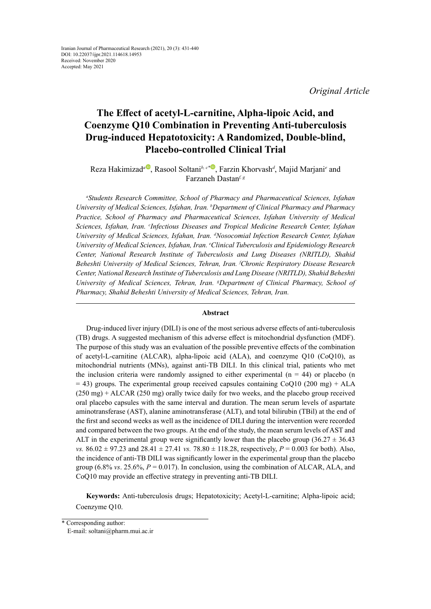*Original Article*

# **The Effect of acetyl-L-carnitine, Alpha-lipoic Acid, and Coenzyme Q10 Combination in Preventing Anti-tuberculosis Drug-induced Hepatotoxicity: A Randomized, Double-blind, Placebo-controlled Clinical Trial**

Reza Hakimizad<sup>a®</sup>[,](http://) Rasool Soltani<sup>b, c[\\*](http://)®</sup>, Farzin Khorvash<sup>d</sup>, Majid Marjani<sup>e</sup> and Farzaneh Dastan*f, g*

*a Students Research Committee, School of Pharmacy and Pharmaceutical Sciences, Isfahan University of Medical Sciences, Isfahan, Iran. b Department of Clinical Pharmacy and Pharmacy Practice, School of Pharmacy and Pharmaceutical Sciences, Isfahan University of Medical Sciences, Isfahan, Iran. c Infectious Diseases and Tropical Medicine Research Center, Isfahan University of Medical Sciences, Isfahan, Iran. d Nosocomial Infection Research Center, Isfahan University of Medical Sciences, Isfahan, Iran. e Clinical Tuberculosis and Epidemiology Research Center, National Research Institute of Tuberculosis and Lung Diseases (NRITLD), Shahid Beheshti University of Medical Sciences, Tehran, Iran. f Chronic Respiratory Disease Research Center, National Research Institute of Tuberculosis and Lung Disease (NRITLD), Shahid Beheshti University of Medical Sciences, Tehran, Iran. g Department of Clinical Pharmacy, School of Pharmacy, Shahid Beheshti University of Medical Sciences, Tehran, Iran.*

# **Abstract**

Drug-induced liver injury (DILI) is one of the most serious adverse effects of anti-tuberculosis (TB) drugs. A suggested mechanism of this adverse effect is mitochondrial dysfunction (MDF). The purpose of this study was an evaluation of the possible preventive effects of the combination of acetyl-L-carnitine (ALCAR), alpha-lipoic acid (ALA), and coenzyme Q10 (CoQ10), as mitochondrial nutrients (MNs), against anti-TB DILI. In this clinical trial, patients who met the inclusion criteria were randomly assigned to either experimental  $(n = 44)$  or placebo (n  $=$  43) groups. The experimental group received capsules containing CoQ10 (200 mg) + ALA  $(250 \text{ mg}) + \text{ALCAR}$  (250 mg) orally twice daily for two weeks, and the placebo group received oral placebo capsules with the same interval and duration. The mean serum levels of aspartate aminotransferase (AST), alanine aminotransferase (ALT), and total bilirubin (TBil) at the end of the first and second weeks as well as the incidence of DILI during the intervention were recorded and compared between the two groups. At the end of the study, the mean serum levels of AST and ALT in the experimental group were significantly lower than the placebo group  $(36.27 \pm 36.43)$ *vs.* 86.02 ± 97.23 and 28.41 ± 27.41 *vs.* 78.80 ± 118.28, respectively, *P* = 0.003 for both). Also, the incidence of anti-TB DILI was significantly lower in the experimental group than the placebo group (6.8% *vs.* 25.6%,  $P = 0.017$ ). In conclusion, using the combination of ALCAR, ALA, and CoQ10 may provide an effective strategy in preventing anti-TB DILI.

**Keywords:** Anti-tuberculosis drugs; Hepatotoxicity; Acetyl-L-carnitine; Alpha-lipoic acid; Coenzyme Q10.

<sup>\*</sup> Corresponding author:

E-mail: soltani@pharm.mui.ac.ir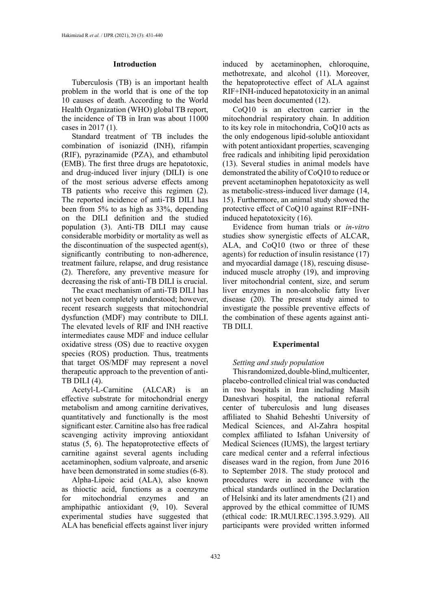# **Introduction**

Tuberculosis (TB) is an important health problem in the world that is one of the top 10 causes of death. According to the World Health Organization (WHO) global TB report, the incidence of TB in Iran was about 11000 cases in 2017 (1).

Standard treatment of TB includes the combination of isoniazid (INH), rifampin (RIF), pyrazinamide (PZA), and ethambutol (EMB). The first three drugs are hepatotoxic, and drug-induced liver injury (DILI) is one of the most serious adverse effects among TB patients who receive this regimen (2). The reported incidence of anti-TB DILI has been from 5% to as high as 33%, depending on the DILI definition and the studied population (3). Anti-TB DILI may cause considerable morbidity or mortality as well as the discontinuation of the suspected agent(s), significantly contributing to non-adherence, treatment failure, relapse, and drug resistance (2). Therefore, any preventive measure for decreasing the risk of anti-TB DILI is crucial.

The exact mechanism of anti-TB DILI has not yet been completely understood; however, recent research suggests that mitochondrial dysfunction (MDF) may contribute to DILI. The elevated levels of RIF and INH reactive intermediates cause MDF and induce cellular oxidative stress (OS) due to reactive oxygen species (ROS) production. Thus, treatments that target OS/MDF may represent a novel therapeutic approach to the prevention of anti-TB DILI (4).

Acetyl-L-Carnitine (ALCAR) is an effective substrate for mitochondrial energy metabolism and among carnitine derivatives, quantitatively and functionally is the most significant ester. Carnitine also has free radical scavenging activity improving antioxidant status (5, 6). The hepatoprotective effects of carnitine against several agents including acetaminophen, sodium valproate, and arsenic have been demonstrated in some studies (6-8).

Alpha-Lipoic acid (ALA), also known as thioctic acid, functions as a coenzyme for mitochondrial enzymes and an amphipathic antioxidant (9, 10). Several experimental studies have suggested that ALA has beneficial effects against liver injury induced by acetaminophen, chloroquine, methotrexate, and alcohol (11). Moreover, the hepatoprotective effect of ALA against RIF+INH-induced hepatotoxicity in an animal model has been documented (12).

CoQ10 is an electron carrier in the mitochondrial respiratory chain. In addition to its key role in mitochondria, CoQ10 acts as the only endogenous lipid-soluble antioxidant with potent antioxidant properties, scavenging free radicals and inhibiting lipid peroxidation (13). Several studies in animal models have demonstrated the ability of CoQ10 to reduce or prevent acetaminophen hepatotoxicity as well as metabolic-stress-induced liver damage (14, 15). Furthermore, an animal study showed the protective effect of CoQ10 against RIF+INHinduced hepatotoxicity (16).

Evidence from human trials or *in-vitro* studies show synergistic effects of ALCAR, ALA, and CoQ10 (two or three of these agents) for reduction of insulin resistance (17) and myocardial damage (18), rescuing disuseinduced muscle atrophy (19), and improving liver mitochondrial content, size, and serum liver enzymes in non-alcoholic fatty liver disease (20). The present study aimed to investigate the possible preventive effects of the combination of these agents against anti-TB DILI.

## **Experimental**

# *Setting and study population*

This randomized, double-blind, multicenter, placebo-controlled clinical trial was conducted in two hospitals in Iran including Masih Daneshvari hospital, the national referral center of tuberculosis and lung diseases affiliated to Shahid Beheshti University of Medical Sciences, and Al-Zahra hospital complex affiliated to Isfahan University of Medical Sciences (IUMS), the largest tertiary care medical center and a referral infectious diseases ward in the region, from June 2016 to September 2018. The study protocol and procedures were in accordance with the ethical standards outlined in the Declaration of Helsinki and its later amendments (21) and approved by the ethical committee of IUMS (ethical code: IR.MUI.REC.1395.3.929). All participants were provided written informed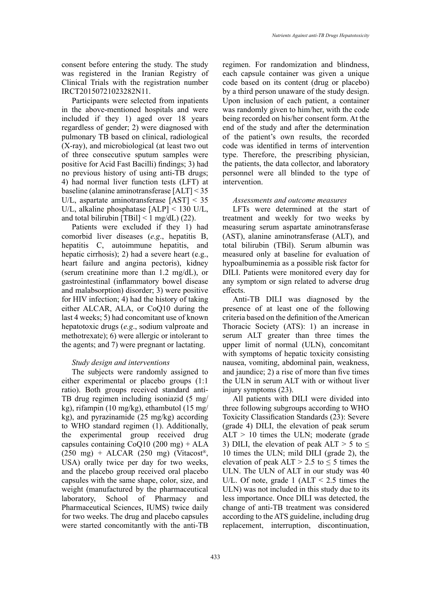consent before entering the study. The study was registered in the Iranian Registry of Clinical Trials with the registration number IRCT20150721023282N11.

Participants were selected from inpatients in the above-mentioned hospitals and were included if they 1) aged over 18 years regardless of gender; 2) were diagnosed with pulmonary TB based on clinical, radiological (X-ray), and microbiological (at least two out of three consecutive sputum samples were positive for Acid Fast Bacilli) findings; 3) had no previous history of using anti-TB drugs; 4) had normal liver function tests (LFT) at baseline (alanine aminotransferase [ALT] < 35 U/L, aspartate aminotransferase [AST] < 35 U/L, alkaline phosphatase [ALP] < 130 U/L, and total bilirubin  $[TBil] < 1$  mg/dL) (22).

Patients were excluded if they 1) had comorbid liver diseases (*e.g*., hepatitis B, hepatitis C, autoimmune hepatitis, and hepatic cirrhosis); 2) had a severe heart (e.g., heart failure and angina pectoris), kidney (serum creatinine more than 1.2 mg/dL), or gastrointestinal (inflammatory bowel disease and malabsorption) disorder; 3) were positive for HIV infection; 4) had the history of taking either ALCAR, ALA, or CoQ10 during the last 4 weeks; 5) had concomitant use of known hepatotoxic drugs (*e.g*., sodium valproate and methotrexate); 6) were allergic or intolerant to the agents; and 7) were pregnant or lactating.

## *Study design and interventions*

The subjects were randomly assigned to either experimental or placebo groups (1:1 ratio). Both groups received standard anti-TB drug regimen including isoniazid (5 mg/ kg), rifampin (10 mg/kg), ethambutol (15 mg/ kg), and pyrazinamide (25 mg/kg) according to WHO standard regimen (1). Additionally, the experimental group received drug capsules containing CoQ10 (200 mg) + ALA  $(250 \text{ mg})$  + ALCAR  $(250 \text{ mg})$  (Vitacost<sup>®</sup>, USA) orally twice per day for two weeks, and the placebo group received oral placebo capsules with the same shape, color, size, and weight (manufactured by the pharmaceutical laboratory, School of Pharmacy and Pharmaceutical Sciences, IUMS) twice daily for two weeks. The drug and placebo capsules were started concomitantly with the anti-TB

regimen. For randomization and blindness, each capsule container was given a unique code based on its content (drug or placebo) by a third person unaware of the study design. Upon inclusion of each patient, a container was randomly given to him/her, with the code being recorded on his/her consent form. At the end of the study and after the determination of the patient's own results, the recorded code was identified in terms of intervention type. Therefore, the prescribing physician, the patients, the data collector, and laboratory personnel were all blinded to the type of intervention.

#### *Assessments and outcome measures*

LFTs were determined at the start of treatment and weekly for two weeks by measuring serum aspartate aminotransferase (AST), alanine aminotransferase (ALT), and total bilirubin (TBil). Serum albumin was measured only at baseline for evaluation of hypoalbuminemia as a possible risk factor for DILI. Patients were monitored every day for any symptom or sign related to adverse drug effects.

Anti-TB DILI was diagnosed by the presence of at least one of the following criteria based on the definition of the American Thoracic Society (ATS): 1) an increase in serum ALT greater than three times the upper limit of normal (ULN), concomitant with symptoms of hepatic toxicity consisting nausea, vomiting, abdominal pain, weakness, and jaundice; 2) a rise of more than five times the ULN in serum ALT with or without liver injury symptoms (23).

All patients with DILI were divided into three following subgroups according to WHO Toxicity Classification Standards (23): Severe (grade 4) DILI, the elevation of peak serum  $ALT > 10$  times the ULN; moderate (grade 3) DILI, the elevation of peak ALT > 5 to  $\leq$ 10 times the ULN; mild DILI (grade 2), the elevation of peak  $ALT > 2.5$  to  $\leq 5$  times the ULN. The ULN of ALT in our study was 40 U/L. Of note, grade 1 ( $ALT < 2.5$  times the ULN) was not included in this study due to its less importance. Once DILI was detected, the change of anti-TB treatment was considered according to the ATS guideline, including drug replacement, interruption, discontinuation,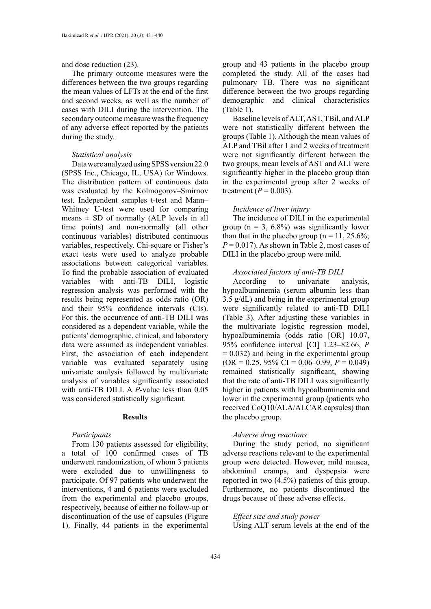## and dose reduction (23).

The primary outcome measures were the differences between the two groups regarding the mean values of LFTs at the end of the first and second weeks, as well as the number of cases with DILI during the intervention. The secondary outcome measure was the frequency of any adverse effect reported by the patients during the study.

# *Statistical analysis*

Data were analyzed using SPSS version 22.0 (SPSS Inc., Chicago, IL, USA) for Windows. The distribution pattern of continuous data was evaluated by the Kolmogorov–Smirnov test. Independent samples t-test and Mann– Whitney U-test were used for comparing means  $\pm$  SD of normally (ALP levels in all time points) and non-normally (all other continuous variables) distributed continuous variables, respectively. Chi-square or Fisher's exact tests were used to analyze probable associations between categorical variables. To find the probable association of evaluated variables with anti-TB DILI, logistic regression analysis was performed with the results being represented as odds ratio (OR) and their 95% confidence intervals (CIs). For this, the occurrence of anti-TB DILI was considered as a dependent variable, while the patients' demographic, clinical, and laboratory data were assumed as independent variables. First, the association of each independent variable was evaluated separately using univariate analysis followed by multivariate analysis of variables significantly associated with anti-TB DILI. A *P-*value less than 0.05 was considered statistically significant.

# **Results**

#### *Participants*

From 130 patients assessed for eligibility, a total of 100 confirmed cases of TB underwent randomization, of whom 3 patients were excluded due to unwillingness to participate. Of 97 patients who underwent the interventions, 4 and 6 patients were excluded from the experimental and placebo groups, respectively, because of either no follow-up or discontinuation of the use of capsules (Figure 1). Finally, 44 patients in the experimental group and 43 patients in the placebo group completed the study. All of the cases had pulmonary TB. There was no significant difference between the two groups regarding demographic and clinical characteristics (Table 1).

Baseline levels of ALT, AST, TBil, and ALP were not statistically different between the groups (Table 1). Although the mean values of ALP and TBil after 1 and 2 weeks of treatment were not significantly different between the two groups, mean levels of AST and ALT were significantly higher in the placebo group than in the experimental group after 2 weeks of treatment ( $P = 0.003$ ).

# *Incidence of liver injury*

The incidence of DILI in the experimental group ( $n = 3$ , 6.8%) was significantly lower than that in the placebo group ( $n = 11, 25.6\%$ ;  $P = 0.017$ . As shown in Table 2, most cases of DILI in the placebo group were mild.

# *Associated factors of anti-TB DILI*

According to univariate analysis, hypoalbuminemia (serum albumin less than 3.5 g/dL) and being in the experimental group were significantly related to anti-TB DILI (Table 3). After adjusting these variables in the multivariate logistic regression model, hypoalbuminemia (odds ratio [OR] 10.07, 95% confidence interval [CI] 1.23–82.66, *P*  $= 0.032$ ) and being in the experimental group  $(OR = 0.25, 95\% \text{ CI} = 0.06 - 0.99, P = 0.049)$ remained statistically significant, showing that the rate of anti-TB DILI was significantly higher in patients with hypoalbuminemia and lower in the experimental group (patients who received CoQ10/ALA/ALCAR capsules) than the placebo group.

## *Adverse drug reactions*

During the study period, no significant adverse reactions relevant to the experimental group were detected. However, mild nausea, abdominal cramps, and dyspepsia were reported in two (4.5%) patients of this group. Furthermore, no patients discontinued the drugs because of these adverse effects.

## *Effect size and study power*

Using ALT serum levels at the end of the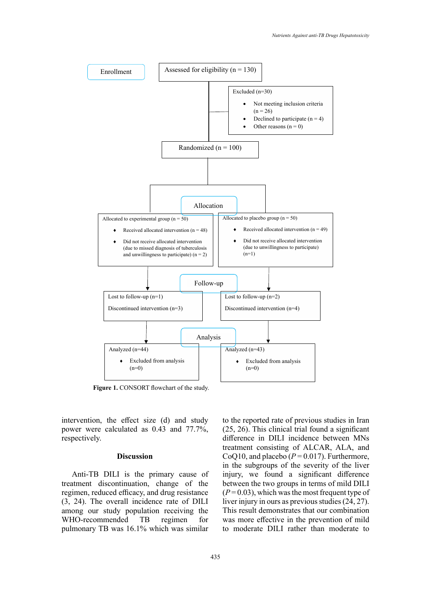

**Figure 1.** CONSORT flowchart of the study.

intervention, the effect size (d) and study power were calculated as 0.43 and 77.7%, respectively.

# **Discussion**

Anti-TB DILI is the primary cause of treatment discontinuation, change of the regimen, reduced efficacy, and drug resistance (3, 24). The overall incidence rate of DILI among our study population receiving the WHO-recommended TB regimen for pulmonary TB was 16.1% which was similar

to the reported rate of previous studies in Iran (25, 26). This clinical trial found a significant difference in DILI incidence between MNs treatment consisting of ALCAR, ALA, and CoQ10, and placebo  $(P = 0.017)$ . Furthermore, in the subgroups of the severity of the liver injury, we found a significant difference between the two groups in terms of mild DILI  $(P=0.03)$ , which was the most frequent type of liver injury in ours as previous studies (24, 27). This result demonstrates that our combination was more effective in the prevention of mild to moderate DILI rather than moderate to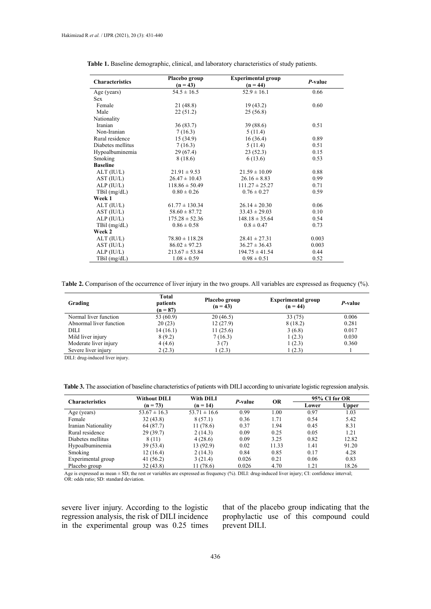| <b>Characteristics</b> | Placebo group<br>$(n = 43)$ | <b>Experimental group</b><br>$(n = 44)$ | P-value |  |
|------------------------|-----------------------------|-----------------------------------------|---------|--|
| Age (years)            | $54.5 \pm 16.5$             | $52.9 \pm 16.1$                         | 0.66    |  |
| <b>Sex</b>             |                             |                                         |         |  |
| Female                 | 21 (48.8)                   | 19(43.2)                                | 0.60    |  |
| Male                   | 22(51.2)                    | 25(56.8)                                |         |  |
| Nationality            |                             |                                         |         |  |
| <b>Iranian</b>         | 36(83.7)                    | 39 (88.6)                               | 0.51    |  |
| Non-Iranian            | 7(16.3)                     | 5(11.4)                                 |         |  |
| Rural residence        | 15(34.9)                    | 16(36.4)                                | 0.89    |  |
| Diabetes mellitus      | 7(16.3)                     | 5(11.4)                                 | 0.51    |  |
| Hypoalbuminemia        | 29(67.4)                    | 23(52.3)                                | 0.15    |  |
| Smoking                | 8 (18.6)                    | 6(13.6)                                 | 0.53    |  |
| <b>Baseline</b>        |                             |                                         |         |  |
| $ALT$ ( $IU/L$ )       | $21.91 \pm 9.53$            | $21.59 \pm 10.09$                       | 0.88    |  |
| AST (IU/L)             | $26.47 \pm 10.43$           | $26.16 \pm 8.83$                        | 0.99    |  |
| ALP (IU/L)             | $118.86 \pm 50.49$          | $111.27 \pm 25.27$                      | 0.71    |  |
| TBil $(mg/dL)$         | $0.80 \pm 0.26$             | $0.76 \pm 0.27$                         | 0.59    |  |
| Week 1                 |                             |                                         |         |  |
| $ALT$ (IU/L)           | $61.77 \pm 130.34$          | $26.14 \pm 20.30$                       | 0.06    |  |
| AST (IU/L)             | $58.60 \pm 87.72$           | $33.43 \pm 29.03$                       | 0.10    |  |
| ALP (IU/L)             | $175.28 \pm 52.36$          | $148.18 \pm 35.64$                      | 0.54    |  |
| TBil $(mg/dL)$         | $0.86 \pm 0.58$             | $0.8 \pm 0.47$                          | 0.73    |  |
| Week 2                 |                             |                                         |         |  |
| $ALT$ (IU/L)           | $78.80 \pm 118.28$          | $28.41 \pm 27.31$                       | 0.003   |  |
| AST (IU/L)             | $86.02 \pm 97.23$           | $36.27 \pm 36.43$                       | 0.003   |  |
| ALP (IU/L)             | $213.67 \pm 53.84$          | $194.75 \pm 41.54$                      | 0.44    |  |
| $T \text{Bil}$ (mg/dL) | $1.08 \pm 0.59$             | $0.98 \pm 0.51$                         | 0.52    |  |

**Table 1.** Baseline demographic, clinical, and laboratory characteristics of study patients.

T**able 2.** Comparison of the occurrence of liver injury in the two groups. All variables are expressed as frequency (%).

| Total<br>patients<br>$(n = 87)$ | Placebo group<br>$(n = 43)$ | <b>Experimental group</b><br>$(n = 44)$ | <i>P</i> -value |  |
|---------------------------------|-----------------------------|-----------------------------------------|-----------------|--|
| 53 (60.9)                       | 20(46.5)                    | 33(75)                                  | 0.006           |  |
| 20(23)                          | 12(27.9)                    | 8(18.2)                                 | 0.281           |  |
| 14 (16.1)                       | 11(25.6)                    | 3(6.8)                                  | 0.017           |  |
| 8(9.2)                          | 7(16.3)                     | 1(2.3)                                  | 0.030           |  |
| 4(4.6)                          | 3(7)                        | 1(2.3)                                  | 0.360           |  |
| 2(2.3)                          | 1(2.3)                      | 1(2.3)                                  |                 |  |
|                                 |                             |                                         |                 |  |

DILI: drug-induced liver injury.

Table 3. The association of baseline characteristics of patients with DILI according to univariate logistic regression analysis.

| <b>Characteristics</b> | <b>Without DILI</b> | With DILI        | <i>P</i> -value<br>$(n = 14)$ | OR    | 95% CI for OR |       |
|------------------------|---------------------|------------------|-------------------------------|-------|---------------|-------|
|                        | $(n = 73)$          |                  |                               |       | Lower         | Upper |
| Age (years)            | $53.67 \pm 16.3$    | $53.71 \pm 16.6$ | 0.99                          | 1.00  | 0.97          | 1.03  |
| Female                 | 32(43.8)            | 8(57.1)          | 0.36                          | 1.71  | 0.54          | 5.42  |
| Iranian Nationality    | 64 (87.7)           | 11(78.6)         | 0.37                          | 1.94  | 0.45          | 8.31  |
| Rural residence        | 29(39.7)            | 2(14.3)          | 0.09                          | 0.25  | 0.05          | 1.21  |
| Diabetes mellitus      | 8 (11)              | 4(28.6)          | 0.09                          | 3.25  | 0.82          | 12.82 |
| Hypoalbuminemia        | 39 (53.4)           | 13 (92.9)        | 0.02                          | 11.33 | 1.41          | 91.20 |
| Smoking                | 12 (16.4)           | 2(14.3)          | 0.84                          | 0.85  | 0.17          | 4.28  |
| Experimental group     | 41 $(56.2)$         | 3(21.4)          | 0.026                         | 0.21  | 0.06          | 0.83  |
| Placebo group          | 32(43.8)            | 11 (78.6)        | 0.026                         | 4.70  | 1.21          | 18.26 |

Age is expressed as mean  $\pm$  SD; the rest or variables are expressed as frequency (%). DILI: drug-induced liver injury; CI: confidence interval; OR: odds ratio; SD: standard deviation.

severe liver injury. According to the logistic regression analysis, the risk of DILI incidence in the experimental group was 0.25 times that of the placebo group indicating that the prophylactic use of this compound could prevent DILI.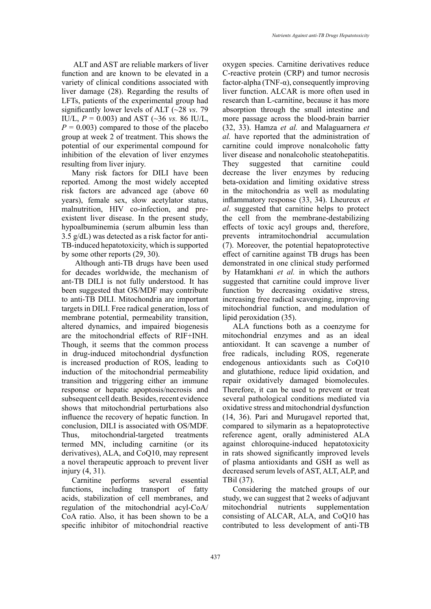ALT and AST are reliable markers of liver function and are known to be elevated in a variety of clinical conditions associated with liver damage (28). Regarding the results of LFTs, patients of the experimental group had significantly lower levels of ALT (~28 *vs*. 79 IU/L,  $P = 0.003$ ) and AST (~36 *vs.* 86 IU/L,  $P = 0.003$  compared to those of the placebo group at week 2 of treatment. This shows the potential of our experimental compound for inhibition of the elevation of liver enzymes resulting from liver injury.

Many risk factors for DILI have been reported. Among the most widely accepted risk factors are advanced age (above 60 years), female sex, slow acetylator status, malnutrition, HIV co-infection, and preexistent liver disease. In the present study, hypoalbuminemia (serum albumin less than 3.5 g/dL) was detected as a risk factor for anti-TB-induced hepatotoxicity, which is supported by some other reports (29, 30).

Although anti-TB drugs have been used for decades worldwide, the mechanism of ant-TB DILI is not fully understood. It has been suggested that OS/MDF may contribute to anti-TB DILI. Mitochondria are important targets in DILI. Free radical generation, loss of membrane potential, permeability transition, altered dynamics, and impaired biogenesis are the mitochondrial effects of RIF+INH. Though, it seems that the common process in drug-induced mitochondrial dysfunction is increased production of ROS, leading to induction of the mitochondrial permeability transition and triggering either an immune response or hepatic apoptosis/necrosis and subsequent cell death. Besides, recent evidence shows that mitochondrial perturbations also influence the recovery of hepatic function. In conclusion, DILI is associated with OS/MDF. Thus, mitochondrial-targeted treatments termed MN, including carnitine (or its derivatives), ALA, and CoQ10, may represent a novel therapeutic approach to prevent liver injury (4, 31).

Carnitine performs several essential functions, including transport of fatty acids, stabilization of cell membranes, and regulation of the mitochondrial acyl-CoA/ CoA ratio. Also, it has been shown to be a specific inhibitor of mitochondrial reactive

oxygen species. Carnitine derivatives reduce C-reactive protein (CRP) and tumor necrosis factor-alpha (TNF- $\alpha$ ), consequently improving liver function. ALCAR is more often used in research than L-carnitine, because it has more absorption through the small intestine and more passage across the blood-brain barrier (32, 33). Hamza *et al.* and Malaguarnera *et al.* have reported that the administration of carnitine could improve nonalcoholic fatty liver disease and nonalcoholic steatohepatitis. They suggested that carnitine could decrease the liver enzymes by reducing beta-oxidation and limiting oxidative stress in the mitochondria as well as modulating inflammatory response (33, 34). Lheureux *et al*. suggested that carnitine helps to protect the cell from the membrane-destabilizing effects of toxic acyl groups and, therefore, prevents intramitochondrial accumulation (7). Moreover, the potential hepatoprotective effect of carnitine against TB drugs has been demonstrated in one clinical study performed by Hatamkhani *et al.* in which the authors suggested that carnitine could improve liver function by decreasing oxidative stress, increasing free radical scavenging, improving mitochondrial function, and modulation of lipid peroxidation (35).

ALA functions both as a coenzyme for mitochondrial enzymes and as an ideal antioxidant. It can scavenge a number of free radicals, including ROS, regenerate endogenous antioxidants such as CoQ10 and glutathione, reduce lipid oxidation, and repair oxidatively damaged biomolecules. Therefore, it can be used to prevent or treat several pathological conditions mediated via oxidative stress and mitochondrial dysfunction (14, 36). Pari and Murugavel reported that, compared to silymarin as a hepatoprotective reference agent, orally administered ALA against chloroquine-induced hepatotoxicity in rats showed significantly improved levels of plasma antioxidants and GSH as well as decreased serum levels of AST, ALT, ALP, and TBil (37).

Considering the matched groups of our study, we can suggest that 2 weeks of adjuvant mitochondrial nutrients supplementation consisting of ALCAR, ALA, and CoQ10 has contributed to less development of anti-TB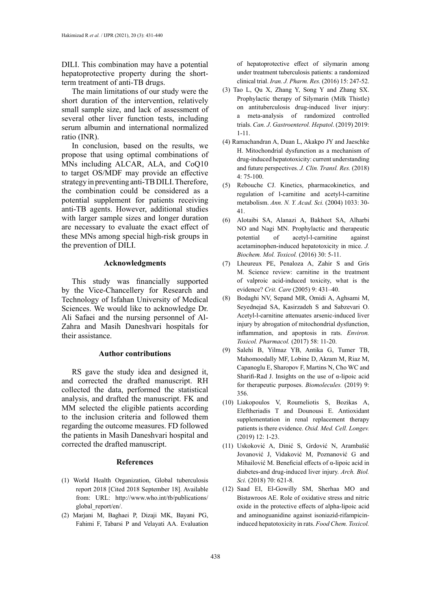DILI. This combination may have a potential hepatoprotective property during the shortterm treatment of anti-TB drugs.

The main limitations of our study were the short duration of the intervention, relatively small sample size, and lack of assessment of several other liver function tests, including serum albumin and international normalized ratio (INR).

In conclusion, based on the results, we propose that using optimal combinations of MNs including ALCAR, ALA, and CoQ10 to target OS/MDF may provide an effective strategy in preventing anti-TB DILI. Therefore, the combination could be considered as a potential supplement for patients receiving anti-TB agents. However, additional studies with larger sample sizes and longer duration are necessary to evaluate the exact effect of these MNs among special high-risk groups in the prevention of DILI.

#### **Acknowledgments**

This study was financially supported by the Vice-Chancellery for Research and Technology of Isfahan University of Medical Sciences. We would like to acknowledge Dr. Ali Safaei and the nursing personnel of Al-Zahra and Masih Daneshvari hospitals for their assistance.

# **Author contributions**

RS gave the study idea and designed it, and corrected the drafted manuscript. RH collected the data, performed the statistical analysis, and drafted the manuscript. FK and MM selected the eligible patients according to the inclusion criteria and followed them regarding the outcome measures. FD followed the patients in Masih Daneshvari hospital and corrected the drafted manuscript.

## **References**

- (1) World Health Organization, Global tuberculosis report 2018 [Cited 2018 September 18]. Available from: URL: http://www.who.int/tb/publications/ global\_report/en/.
- (2) Marjani M, Baghaei P, Dizaji MK, Bayani PG, Fahimi F, Tabarsi P and Velayati AA. Evaluation

of hepatoprotective effect of silymarin among under treatment tuberculosis patients: a randomized clinical trial. *Iran. J. Pharm. Res.* (2016) 15: 247-52.

- (3) Tao L, Qu X, Zhang Y, Song Y and Zhang SX. Prophylactic therapy of Silymarin (Milk Thistle) on antituberculosis drug-induced liver injury: a meta-analysis of randomized controlled trials. *Can. J*. *Gastroenterol. Hepatol*. (2019) 2019: 1-11.
- (4) Ramachandran A, Duan L, Akakpo JY and Jaeschke H. Mitochondrial dysfunction as a mechanism of drug-induced hepatotoxicity: current understanding and future perspectives. *J. Clin. Transl. Res.* (2018) 4: 75-100.
- (5) Rebouche CJ. Kinetics, pharmacokinetics, and regulation of l-carnitine and acetyl-l-carnitine metabolism. *Ann. N. Y. Acad. Sci.* (2004) 1033: 30- 41.
- (6) Alotaibi SA, Alanazi A, Bakheet SA, Alharbi NO and Nagi MN. Prophylactic and therapeutic potential of acetyl-l-carnitine against acetaminophen‐induced hepatotoxicity in mice. *J. Biochem. Mol. Toxicol.* (2016) 30: 5-11.
- (7) Lheureux PE, Penaloza A, Zahir S and Gris M. Science review: carnitine in the treatment of valproic acid-induced toxicity, what is the evidence? *Crit. Care* (2005) 9: 431–40.
- (8) Bodaghi NV, Sepand MR, Omidi A, Aghsami M, Seyednejad SA, Kasirzadeh S and Sabzevari O. Acetyl-l-carnitine attenuates arsenic-induced liver injury by abrogation of mitochondrial dysfunction, inflammation, and apoptosis in rats. *Environ. Toxicol. Pharmacol.* (2017) 58: 11-20.
- (9) Salehi B, Yilmaz YB, Antika G, Tumer TB, Mahomoodally MF, Lobine D, Akram M, Riaz M, Capanoglu E, Sharopov F, Martins N, Cho WC and Sharifi-Rad J. Insights on the use of α-lipoic acid for therapeutic purposes. *Biomolecules.* (2019) 9: 356.
- (10) Liakopoulos V, Roumeliotis S, Bozikas A, Eleftheriadis T and Dounousi E. Antioxidant supplementation in renal replacement therapy patients is there evidence. *Oxid. Med. Cell. Longev.* (2019) 12: 1-23.
- (11) Uskoković A, Dinić S, Grdović N, Arambašić Jovanović J, Vidaković M, Poznanović G and Mihailović M. Beneficial effects of α-lipoic acid in diabetes-and drug-induced liver injury. *Arch. Biol. Sci.* (2018) 70: 621-8.
- (12) Saad EI, El-Gowilly SM, Sherhaa MO and Bistawroos AE. Role of oxidative stress and nitric oxide in the protective effects of alpha-lipoic acid and aminoguanidine against isoniazid-rifampicininduced hepatotoxicity in rats. *Food Chem. Toxicol.*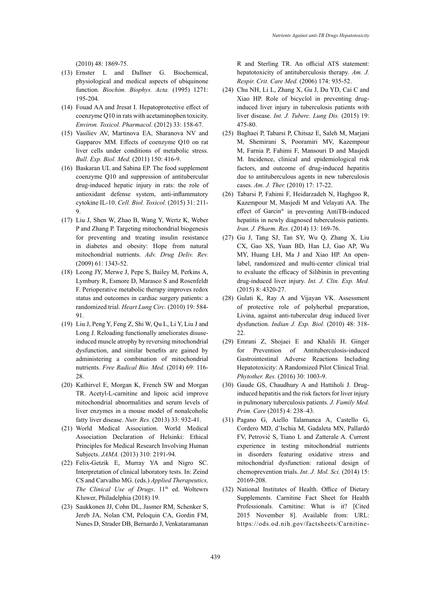(2010) 48: 1869-75.

- (13) Ernster L and Dallner G. Biochemical, physiological and medical aspects of ubiquinone function. *Biochim. Biophys. Acta.* (1995) 1271: 195-204.
- (14) Fouad AA and Jresat I. Hepatoprotective effect of coenzyme Q10 in rats with acetaminophen toxicity. *Environ. Toxicol. Pharmacol.* (2012) 33: 158-67.
- (15) Vasiliev AV, Martinova EA, Sharanova NV and Gapparov MM. Effects of coenzyme Q10 on rat liver cells under conditions of metabolic stress. *Bull. Exp. Biol. Med.* (2011) 150: 416-9.
- (16) Baskaran UL and Sabina EP. The food supplement coenzyme Q10 and suppression of antitubercular drug-induced hepatic injury in rats: the role of antioxidant defense system, anti-inflammatory cytokine IL-10. *Cell. Biol. Toxicol.* (2015) 31: 211- 9.
- (17) Liu J, Shen W, Zhao B, Wang Y, Wertz K, Weber P and Zhang P. Targeting mitochondrial biogenesis for preventing and treating insulin resistance in diabetes and obesity: Hope from natural mitochondrial nutrients. *Adv. Drug Deliv. Rev.* (2009) 61: 1343-52.
- (18) Leong JY, Merwe J, Pepe S, Bailey M, Perkins A, Lymbury R, Esmore D, Marasco S and Rosenfeldt F. Perioperative metabolic therapy improves redox status and outcomes in cardiac surgery patients: a randomized trial. *Heart Lung Circ.* (2010) 19: 584- 91.
- (19) Liu J, Peng Y, Feng Z, Shi W, Qu L, Li Y, Liu J and Long J. Reloading functionally ameliorates disuseinduced muscle atrophy by reversing mitochondrial dysfunction, and similar benefits are gained by administering a combination of mitochondrial nutrients. *Free Radical Bio. Med.* (2014) 69: 116- 28.
- (20) Kathirvel E, Morgan K, French SW and Morgan TR. Acetyl-L-carnitine and lipoic acid improve mitochondrial abnormalities and serum levels of liver enzymes in a mouse model of nonalcoholic fatty liver disease. *Nutr. Res.* (2013) 33: 932-41.
- (21) World Medical Association. World Medical Association Declaration of Helsinki: Ethical Principles for Medical Research Involving Human Subjects. *JAMA.* (2013) 310: 2191-94.
- (22) Felix-Getzik E, Murray YA and Nigro SC. Interpretation of clinical laboratory tests. In: Zeind CS and Carvalho MG. (eds.) *Applied Therapeutics,*  The Clinical Use of Drugs. 11<sup>th</sup> ed. Woltewrs Kluwer, Philadelphia (2018) 19.
- (23) Saukkonen JJ, Cohn DL, Jasmer RM, Schenker S, Jereb JA, Nolan CM, Peloquin CA, Gordin FM, Nunes D, Strader DB, Bernardo J, Venkataramanan

R and Sterling TR. An official ATS statement: hepatotoxicity of antituberculosis therapy. *Am. J. Respir. Crit. Care Med.* (2006) 174: 935-52.

- (24) Chu NH, Li L, Zhang X, Gu J, Du YD, Cai C and Xiao HP. Role of bicyclol in preventing druginduced liver injury in tuberculosis patients with liver disease. *Int. J. Tuberc. Lung Dis.* (2015) 19: 475-80.
- (25) Baghaei P, Tabarsi P, Chitsaz E, Saleh M, Marjani M, Shemirani S, Pooramiri MV, Kazempour M, Farnia P, Fahimi F, Mansouri D and Masjedi M. Incidence, clinical and epidemiological risk factors, and outcome of drug-induced hepatitis due to antituberculous agents in new tuberculosis cases. *Am. J. Ther.* (2010) 17: 17-22.
- (26) Tabarsi P, Fahimi F, Heidarzadeh N, Haghgoo R, Kazempour M, Masjedi M and Velayati AA. The effect of Garcin® in preventing AntiTB-induced hepatitis in newly diagnosed tuberculosis patients. *Iran. J. Pharm. Res.* (2014) 13: 169-76.
- (27) Gu J, Tang SJ, Tan SY, Wu Q, Zhang X, Liu CX, Gao XS, Yuan BD, Han LJ, Gao AP, Wu MY, Huang LH, Ma J and Xiao HP. An openlabel, randomized and multi-center clinical trial to evaluate the efficacy of Silibinin in preventing drug-induced liver injury. *Int. J. Clin. Exp. Med.* (2015) 8: 4320-27.
- (28) Gulati K, Ray A and Vijayan VK. Assessment of protective role of polyherbal preparation, Livina, against anti-tubercular drug induced liver dysfunction. *Indian J. Exp. Biol.* (2010) 48: 318-  $22.$
- (29) Emrani Z, Shojaei E and Khalili H. Ginger for Prevention of Antituberculosis-induced Gastrointestinal Adverse Reactions Including Hepatotoxicity: A Randomized Pilot Clinical Trial. *Phytother. Res.* (2016) 30: 1003-9.
- (30) Gaude GS, Chaudhury A and Hattiholi J. Druginduced hepatitis and the risk factors for liver injury in pulmonary tuberculosis patients. *J. Family Med. Prim. Care* (2015) 4: 238–43.
- (31) Pagano G, Aiello Talamanca A, Castello G, Cordero MD, d'Ischia M, Gadaleta MN, Pallardó FV, Petrović S, Tiano L and Zatterale A. Current experience in testing mitochondrial nutrients in disorders featuring oxidative stress and mitochondrial dysfunction: rational design of chemoprevention trials. *Int. J. Mol. Sci.* (2014) 15: 20169-208.
- (32) National Institutes of Health. Office of Dietary Supplements. Carnitine Fact Sheet for Health Professionals. Carnitine: What is it? [Cited 2015 November 8]. Available from: URL: https://ods.od.nih.gov/factsheets/Carnitine-